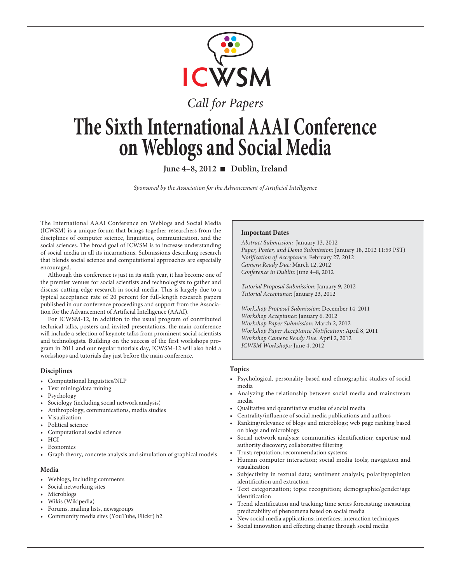

# Call for Papers

# **The Sixth International AAAI Conference on Weblogs and Social Media**

**June 4–8, 2012** ■ Dublin, Ireland

Sponsored by the Association for the Advancement of Artificial Intelligence

The International AAAI Conference on Weblogs and Social Media (ICWSM) is a unique forum that brings together researchers from the disciplines of computer science, linguistics, communication, and the social sciences. The broad goal of ICWSM is to increase understanding of social media in all its incarnations. Submissions describing research that blends social science and computational approaches are especially encouraged.

Although this conference is just in its sixth year, it has become one of the premier venues for social scientists and technologists to gather and discuss cutting-edge research in social media. This is largely due to a typical acceptance rate of 20 percent for full-length research papers published in our conference proceedings and support from the Association for the Advancement of Artificial Intelligence (AAAI).

For ICWSM-12, in addition to the usual program of contributed technical talks, posters and invited presentations, the main conference will include a selection of keynote talks from prominent social scientists and technologists. Building on the success of the first workshops program in 2011 and our regular tutorials day, ICWSM-12 will also hold a workshops and tutorials day just before the main conference.

# **Disciplines**

- Computational linguistics/NLP
- Text mining/data mining
- Psychology
- Sociology (including social network analysis)
- Anthropology, communications, media studies
- Visualization
- Political science
- Computational social science
- HCI
- Economics
- Graph theory, concrete analysis and simulation of graphical models

# **Media**

- Weblogs, including comments
- Social networking sites
- Microblogs
- Wikis (Wikipedia)
- Forums, mailing lists, newsgroups
- Community media sites (YouTube, Flickr) h2.

# **Important Dates**

Abstract Submission: January 13, 2012 Paper, Poster, and Demo Submission: January 18, 2012 11:59 PST) Notification of Acceptance: February 27, 2012 Camera Ready Due: March 12, 2012 Conference in Dublin: June 4–8, 2012

Tutorial Proposal Submission: January 9, 2012 Tutorial Acceptance: January 23, 2012

Workshop Proposal Submission: December 14, 2011 Workshop Acceptance: January 6. 2012 Workshop Paper Submission: March 2, 2012 Workshop Paper Acceptance Notification: April 8, 2011 Workshop Camera Ready Due: April 2, 2012 ICWSM Workshops: June 4, 2012

# **Topics**

- Psychological, personality-based and ethnographic studies of social media
- Analyzing the relationship between social media and mainstream media
- Qualitative and quantitative studies of social media
- Centrality/influence of social media publications and authors
- Ranking/relevance of blogs and microblogs; web page ranking based on blogs and microblogs
- Social network analysis; communities identification; expertise and authority discovery; collaborative filtering
- Trust; reputation; recommendation systems
- Human computer interaction; social media tools; navigation and visualization
- Subjectivity in textual data; sentiment analysis; polarity/opinion identification and extraction
- Text categorization; topic recognition; demographic/gender/age identification
- Trend identification and tracking; time series forecasting; measuring predictability of phenomena based on social media
- New social media applications; interfaces; interaction techniques
- Social innovation and effecting change through social media